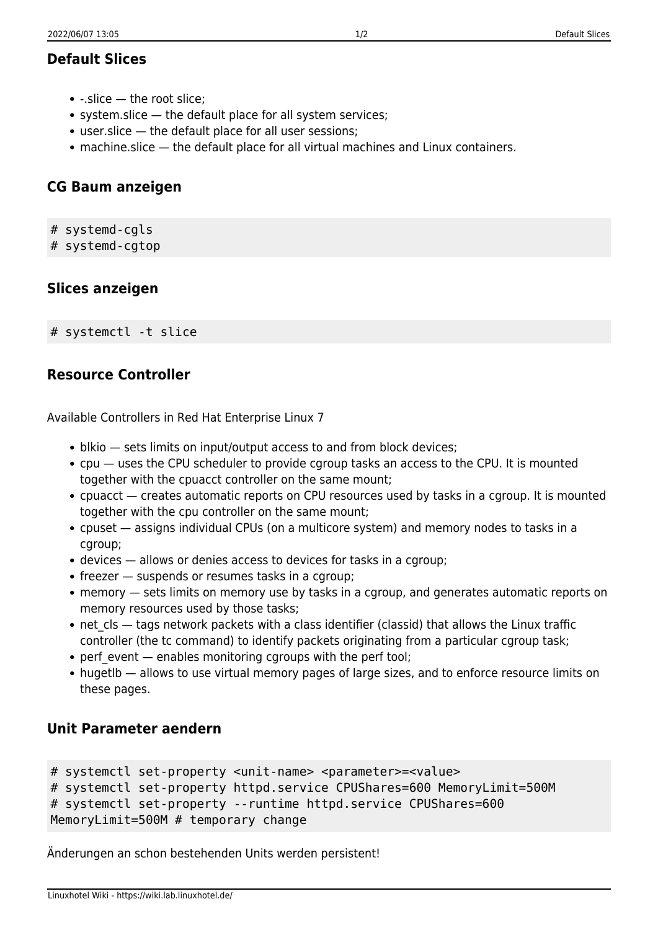# **Default Slices**

- $\bullet$  -.slice the root slice:
- system.slice the default place for all system services;
- user.slice the default place for all user sessions;
- machine.slice the default place for all virtual machines and Linux containers.

### **CG Baum anzeigen**

- # systemd-cgls
- # systemd-cgtop

# **Slices anzeigen**

# systemctl -t slice

## **Resource Controller**

Available Controllers in Red Hat Enterprise Linux 7

- blkio sets limits on input/output access to and from block devices;
- cpu uses the CPU scheduler to provide cgroup tasks an access to the CPU. It is mounted together with the cpuacct controller on the same mount;
- cpuacct creates automatic reports on CPU resources used by tasks in a cgroup. It is mounted together with the cpu controller on the same mount;
- cpuset assigns individual CPUs (on a multicore system) and memory nodes to tasks in a caroup;
- devices allows or denies access to devices for tasks in a cgroup;
- $\bullet$  freezer  $-$  suspends or resumes tasks in a cgroup;
- memory sets limits on memory use by tasks in a cgroup, and generates automatic reports on memory resources used by those tasks;
- $\bullet$  net cls tags network packets with a class identifier (classid) that allows the Linux traffic controller (the tc command) to identify packets originating from a particular cgroup task;
- perf\_event enables monitoring cgroups with the perf tool;
- hugetlb allows to use virtual memory pages of large sizes, and to enforce resource limits on these pages.

#### **Unit Parameter aendern**

```
# systemctl set-property <unit-name> <parameter>=<value>
# systemctl set-property httpd.service CPUShares=600 MemoryLimit=500M
# systemctl set-property --runtime httpd.service CPUShares=600
MemoryLimit=500M # temporary change
```
Änderungen an schon bestehenden Units werden persistent!

Linuxhotel Wiki - https://wiki.lab.linuxhotel.de/